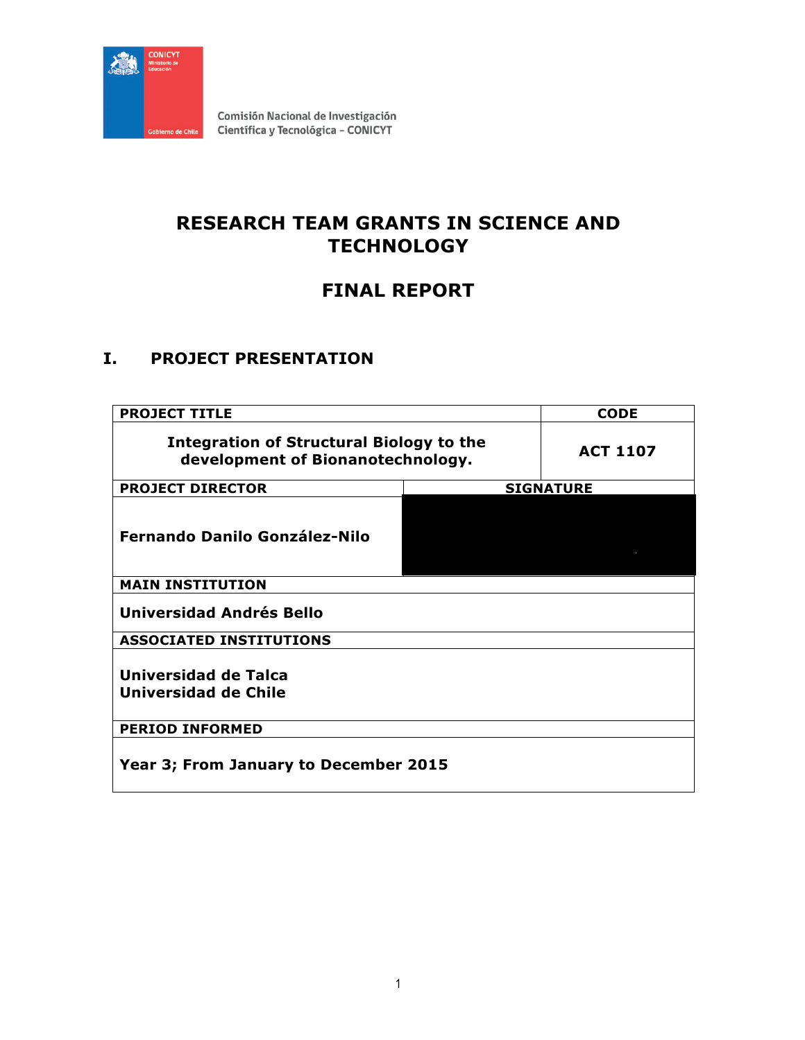

# **RESEARCH TEAM GRANTS IN SCIENCE AND TECHNOLOGY**

# **FINAL REPORT**

# **I. PROJECT PRESENTATION**

| <b>PROJECT TITLE</b>                                                          | <b>CODE</b>      |  |
|-------------------------------------------------------------------------------|------------------|--|
| Integration of Structural Biology to the<br>development of Bionanotechnology. | <b>ACT 1107</b>  |  |
| <b>PROJECT DIRECTOR</b>                                                       | <b>SIGNATURE</b> |  |
| <b>Fernando Danilo González-Nilo</b>                                          |                  |  |
| <b>MAIN INSTITUTION</b>                                                       |                  |  |
| Universidad Andrés Bello                                                      |                  |  |
| <b>ASSOCIATED INSTITUTIONS</b>                                                |                  |  |
| Universidad de Talca<br>Universidad de Chile                                  |                  |  |
| <b>PERIOD INFORMED</b>                                                        |                  |  |
| Year 3; From January to December 2015                                         |                  |  |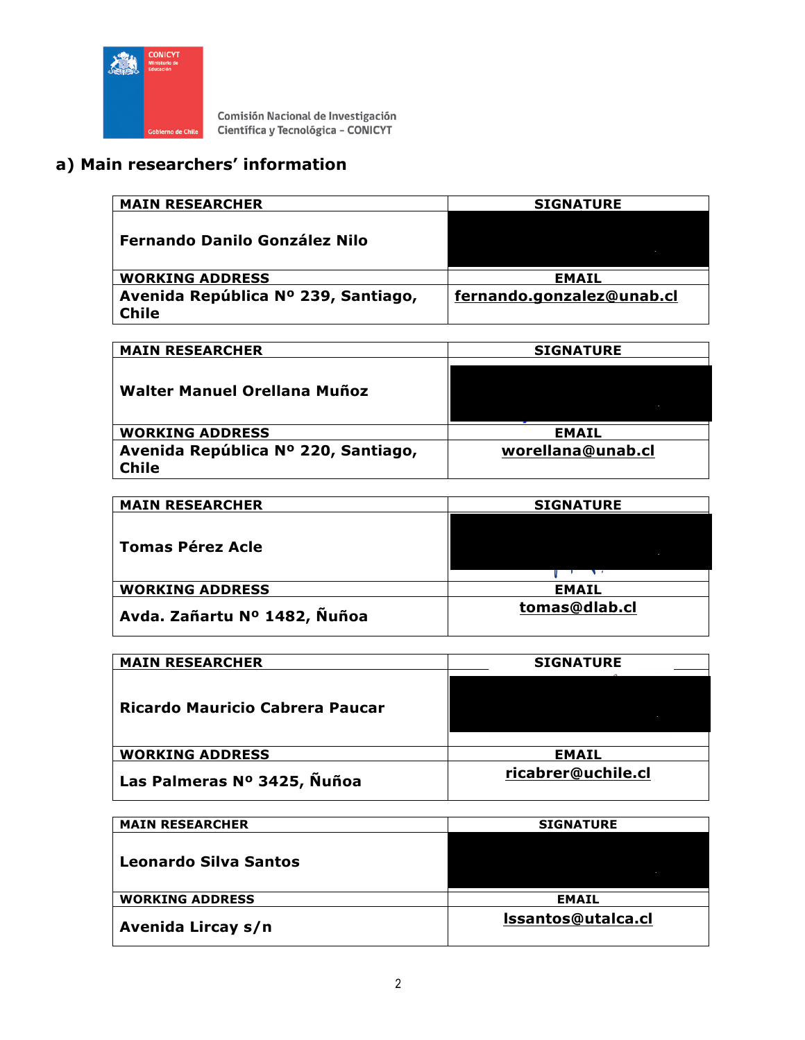

# **a) Main researchers' information**

| <b>MAIN RESEARCHER</b>                              | <b>SIGNATURE</b>          |
|-----------------------------------------------------|---------------------------|
| <b>Fernando Danilo González Nilo</b>                |                           |
| <b>WORKING ADDRESS</b>                              | <b>EMAIL</b>              |
| Avenida República Nº 239, Santiago,<br><b>Chile</b> | fernando.gonzalez@unab.cl |

| <b>MAIN RESEARCHER</b>              | <b>SIGNATURE</b>  |
|-------------------------------------|-------------------|
|                                     |                   |
|                                     |                   |
| Walter Manuel Orellana Muñoz        |                   |
|                                     |                   |
|                                     |                   |
| <b>WORKING ADDRESS</b>              | <b>EMAIL</b>      |
|                                     |                   |
| Avenida República Nº 220, Santiago, | worellana@unab.cl |
| <b>Chile</b>                        |                   |
|                                     |                   |

| <b>MAIN RESEARCHER</b>       | <b>SIGNATURE</b> |
|------------------------------|------------------|
| <b>Tomas Pérez Acle</b>      |                  |
| <b>WORKING ADDRESS</b>       | <b>EMAIL</b>     |
| Avda. Zañartu Nº 1482, Ñuñoa | tomas@dlab.cl    |

| <b>MAIN RESEARCHER</b>          | <b>SIGNATURE</b>   |
|---------------------------------|--------------------|
| Ricardo Mauricio Cabrera Paucar |                    |
| <b>WORKING ADDRESS</b>          | <b>EMAIL</b>       |
| Las Palmeras Nº 3425, Nuñoa     | ricabrer@uchile.cl |

| <b>MAIN RESEARCHER</b> | <b>SIGNATURE</b>   |
|------------------------|--------------------|
| Leonardo Silva Santos  |                    |
| <b>WORKING ADDRESS</b> | <b>EMAIL</b>       |
| Avenida Lircay s/n     | Issantos@utalca.cl |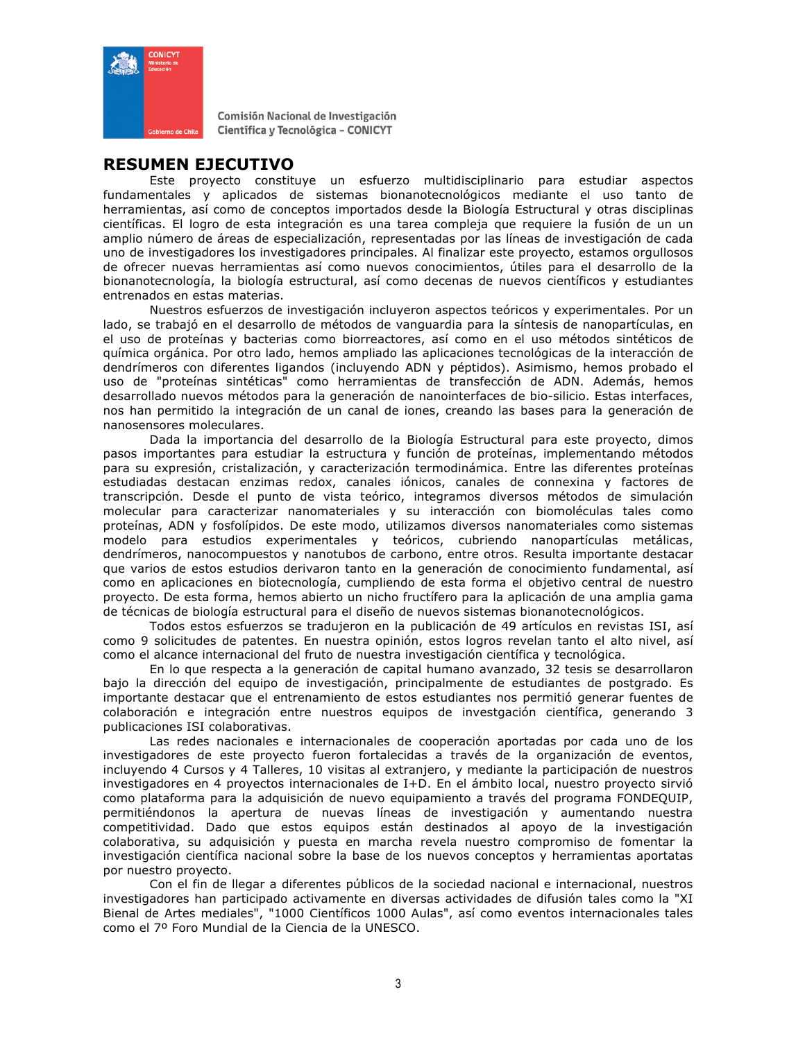

### **RESUMEN EJECUTIVO**

Este proyecto constituye un esfuerzo multidisciplinario para estudiar aspectos fundamentales y aplicados de sistemas bionanotecnológicos mediante el uso tanto de herramientas, así como de conceptos importados desde la Biología Estructural y otras disciplinas científicas. El logro de esta integración es una tarea compleja que requiere la fusión de un un amplio número de áreas de especialización, representadas por las líneas de investigación de cada uno de investigadores los investigadores principales. Al finalizar este proyecto, estamos orgullosos de ofrecer nuevas herramientas así como nuevos conocimientos, útiles para el desarrollo de la bionanotecnología, la biología estructural, así como decenas de nuevos científicos y estudiantes entrenados en estas materias.

Nuestros esfuerzos de investigación incluyeron aspectos teóricos y experimentales. Por un lado, se trabajó en el desarrollo de métodos de vanguardia para la síntesis de nanopartículas, en el uso de proteínas y bacterias como biorreactores, así como en el uso métodos sintéticos de química orgánica. Por otro lado, hemos ampliado las aplicaciones tecnológicas de la interacción de dendrímeros con diferentes ligandos (incluyendo ADN y péptidos). Asimismo, hemos probado el uso de "proteínas sintéticas" como herramientas de transfección de ADN. Además, hemos desarrollado nuevos métodos para la generación de nanointerfaces de bio-silicio. Estas interfaces, nos han permitido la integración de un canal de iones, creando las bases para la generación de nanosensores moleculares.

Dada la importancia del desarrollo de la Biología Estructural para este proyecto, dimos pasos importantes para estudiar la estructura y función de proteínas, implementando métodos para su expresión, cristalización, y caracterización termodinámica. Entre las diferentes proteínas estudiadas destacan enzimas redox, canales iónicos, canales de connexina y factores de transcripción. Desde el punto de vista teórico, integramos diversos métodos de simulación molecular para caracterizar nanomateriales y su interacción con biomoléculas tales como proteínas, ADN y fosfolípidos. De este modo, utilizamos diversos nanomateriales como sistemas modelo para estudios experimentales y teóricos, cubriendo nanopartículas metálicas, dendrímeros, nanocompuestos y nanotubos de carbono, entre otros. Resulta importante destacar que varios de estos estudios derivaron tanto en la generación de conocimiento fundamental, así como en aplicaciones en biotecnología, cumpliendo de esta forma el objetivo central de nuestro proyecto. De esta forma, hemos abierto un nicho fructífero para la aplicación de una amplia gama de técnicas de biología estructural para el diseño de nuevos sistemas bionanotecnológicos.

Todos estos esfuerzos se tradujeron en la publicación de 49 artículos en revistas ISI, así como 9 solicitudes de patentes. En nuestra opinión, estos logros revelan tanto el alto nivel, así como el alcance internacional del fruto de nuestra investigación científica y tecnológica.

En lo que respecta a la generación de capital humano avanzado, 32 tesis se desarrollaron bajo la dirección del equipo de investigación, principalmente de estudiantes de postgrado. Es importante destacar que el entrenamiento de estos estudiantes nos permitió generar fuentes de colaboración e integración entre nuestros equipos de investgación científica, generando 3 publicaciones ISI colaborativas.

Las redes nacionales e internacionales de cooperación aportadas por cada uno de los investigadores de este proyecto fueron fortalecidas a través de la organización de eventos, incluyendo 4 Cursos y 4 Talleres, 10 visitas al extranjero, y mediante la participación de nuestros investigadores en 4 proyectos internacionales de I+D. En el ámbito local, nuestro proyecto sirvió como plataforma para la adquisición de nuevo equipamiento a través del programa FONDEQUIP, permitiéndonos la apertura de nuevas líneas de investigación y aumentando nuestra competitividad. Dado que estos equipos están destinados al apoyo de la investigación colaborativa, su adquisición y puesta en marcha revela nuestro compromiso de fomentar la investigación científica nacional sobre la base de los nuevos conceptos y herramientas aportatas por nuestro proyecto.

Con el fin de llegar a diferentes públicos de la sociedad nacional e internacional, nuestros investigadores han participado activamente en diversas actividades de difusión tales como la "XI Bienal de Artes mediales", "1000 Científicos 1000 Aulas", así como eventos internacionales tales como el 7º Foro Mundial de la Ciencia de la UNESCO.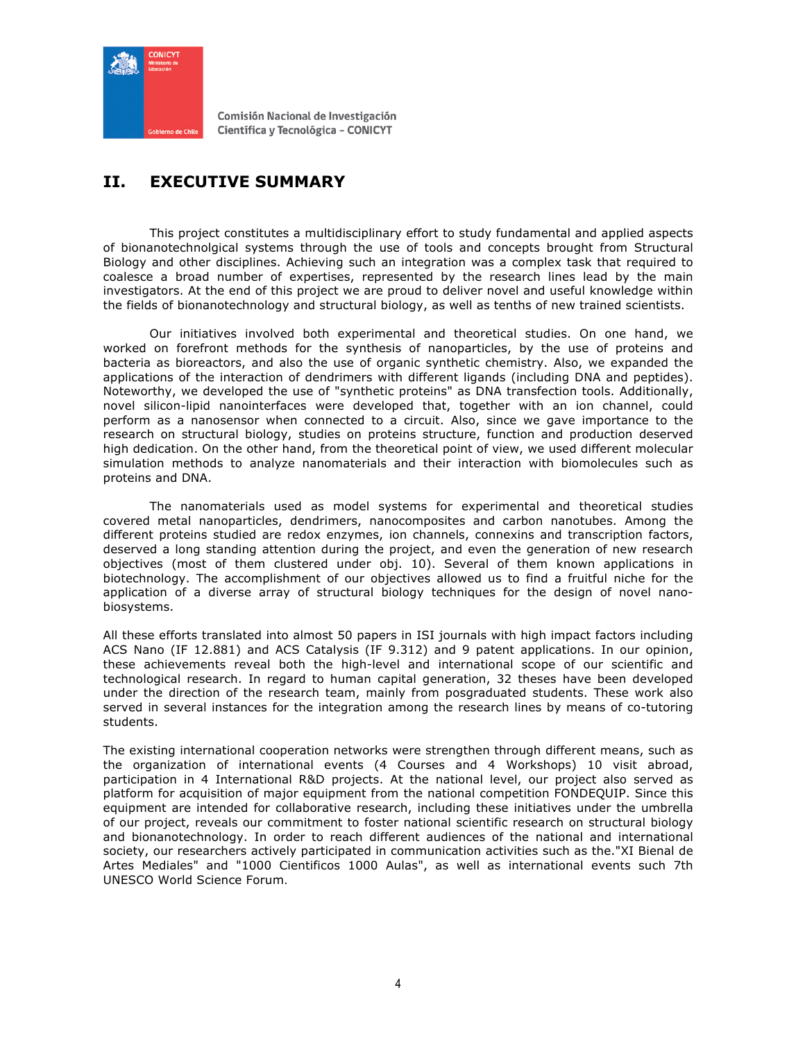

# **II. EXECUTIVE SUMMARY**

This project constitutes a multidisciplinary effort to study fundamental and applied aspects of bionanotechnolgical systems through the use of tools and concepts brought from Structural Biology and other disciplines. Achieving such an integration was a complex task that required to coalesce a broad number of expertises, represented by the research lines lead by the main investigators. At the end of this project we are proud to deliver novel and useful knowledge within the fields of bionanotechnology and structural biology, as well as tenths of new trained scientists.

Our initiatives involved both experimental and theoretical studies. On one hand, we worked on forefront methods for the synthesis of nanoparticles, by the use of proteins and bacteria as bioreactors, and also the use of organic synthetic chemistry. Also, we expanded the applications of the interaction of dendrimers with different ligands (including DNA and peptides). Noteworthy, we developed the use of "synthetic proteins" as DNA transfection tools. Additionally, novel silicon-lipid nanointerfaces were developed that, together with an ion channel, could perform as a nanosensor when connected to a circuit. Also, since we gave importance to the research on structural biology, studies on proteins structure, function and production deserved high dedication. On the other hand, from the theoretical point of view, we used different molecular simulation methods to analyze nanomaterials and their interaction with biomolecules such as proteins and DNA.

The nanomaterials used as model systems for experimental and theoretical studies covered metal nanoparticles, dendrimers, nanocomposites and carbon nanotubes. Among the different proteins studied are redox enzymes, ion channels, connexins and transcription factors, deserved a long standing attention during the project, and even the generation of new research objectives (most of them clustered under obj. 10). Several of them known applications in biotechnology. The accomplishment of our objectives allowed us to find a fruitful niche for the application of a diverse array of structural biology techniques for the design of novel nanobiosystems.

All these efforts translated into almost 50 papers in ISI journals with high impact factors including ACS Nano (IF 12.881) and ACS Catalysis (IF 9.312) and 9 patent applications. In our opinion, these achievements reveal both the high-level and international scope of our scientific and technological research. In regard to human capital generation, 32 theses have been developed under the direction of the research team, mainly from posgraduated students. These work also served in several instances for the integration among the research lines by means of co-tutoring students.

The existing international cooperation networks were strengthen through different means, such as the organization of international events (4 Courses and 4 Workshops) 10 visit abroad, participation in 4 International R&D projects. At the national level, our project also served as platform for acquisition of major equipment from the national competition FONDEQUIP. Since this equipment are intended for collaborative research, including these initiatives under the umbrella of our project, reveals our commitment to foster national scientific research on structural biology and bionanotechnology. In order to reach different audiences of the national and international society, our researchers actively participated in communication activities such as the."XI Bienal de Artes Mediales" and "1000 Cientificos 1000 Aulas", as well as international events such 7th UNESCO World Science Forum.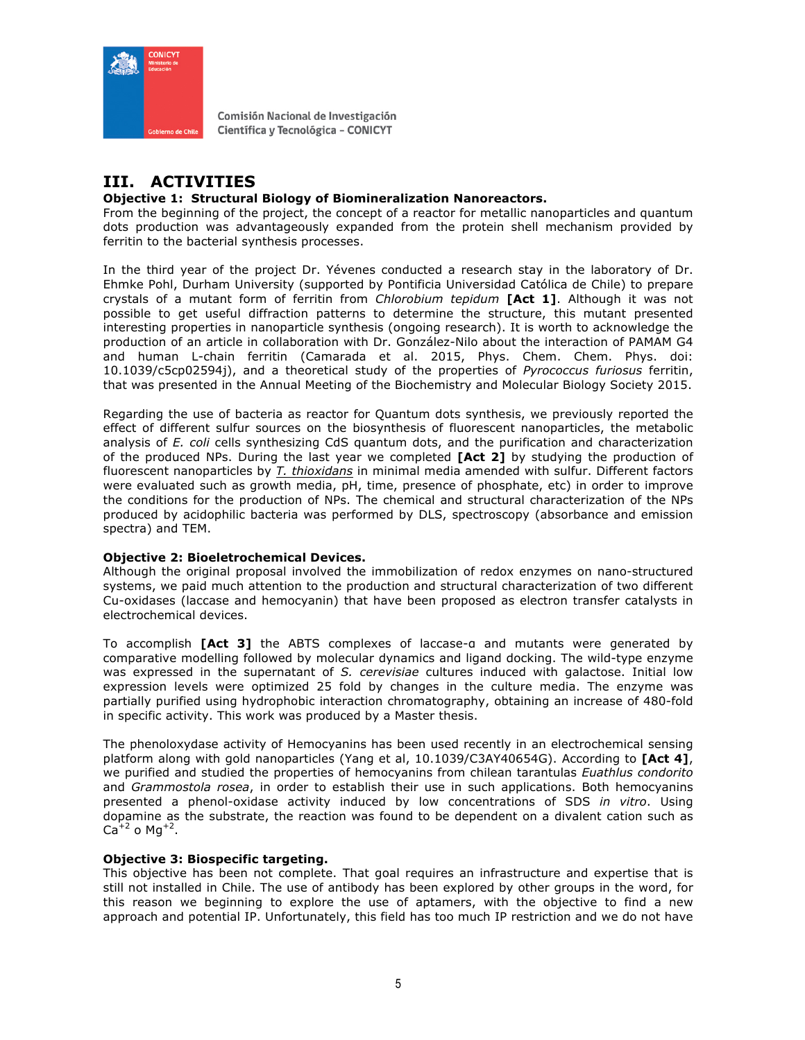

# **III. ACTIVITIES**

### **Objective 1: Structural Biology of Biomineralization Nanoreactors.**

From the beginning of the project, the concept of a reactor for metallic nanoparticles and quantum dots production was advantageously expanded from the protein shell mechanism provided by ferritin to the bacterial synthesis processes.

In the third year of the project Dr. Yévenes conducted a research stay in the laboratory of Dr. Ehmke Pohl, Durham University (supported by Pontificia Universidad Católica de Chile) to prepare crystals of a mutant form of ferritin from *Chlorobium tepidum* **[Act 1]**. Although it was not possible to get useful diffraction patterns to determine the structure, this mutant presented interesting properties in nanoparticle synthesis (ongoing research). It is worth to acknowledge the production of an article in collaboration with Dr. González-Nilo about the interaction of PAMAM G4 and human L-chain ferritin (Camarada et al. 2015, Phys. Chem. Chem. Phys. doi: 10.1039/c5cp02594j), and a theoretical study of the properties of *Pyrococcus furiosus* ferritin, that was presented in the Annual Meeting of the Biochemistry and Molecular Biology Society 2015.

Regarding the use of bacteria as reactor for Quantum dots synthesis, we previously reported the effect of different sulfur sources on the biosynthesis of fluorescent nanoparticles, the metabolic analysis of *E. coli* cells synthesizing CdS quantum dots, and the purification and characterization of the produced NPs. During the last year we completed **[Act 2]** by studying the production of fluorescent nanoparticles by *T. thioxidans* in minimal media amended with sulfur. Different factors were evaluated such as growth media, pH, time, presence of phosphate, etc) in order to improve the conditions for the production of NPs. The chemical and structural characterization of the NPs produced by acidophilic bacteria was performed by DLS, spectroscopy (absorbance and emission spectra) and TEM.

### **Objective 2: Bioeletrochemical Devices.**

Although the original proposal involved the immobilization of redox enzymes on nano-structured systems, we paid much attention to the production and structural characterization of two different Cu-oxidases (laccase and hemocyanin) that have been proposed as electron transfer catalysts in electrochemical devices.

To accomplish **[Act 3]** the ABTS complexes of laccase-α and mutants were generated by comparative modelling followed by molecular dynamics and ligand docking. The wild-type enzyme was expressed in the supernatant of *S. cerevisiae* cultures induced with galactose. Initial low expression levels were optimized 25 fold by changes in the culture media. The enzyme was partially purified using hydrophobic interaction chromatography, obtaining an increase of 480-fold in specific activity. This work was produced by a Master thesis.

The phenoloxydase activity of Hemocyanins has been used recently in an electrochemical sensing platform along with gold nanoparticles (Yang et al, 10.1039/C3AY40654G). According to **[Act 4]**, we purified and studied the properties of hemocyanins from chilean tarantulas *Euathlus condorito* and *Grammostola rosea*, in order to establish their use in such applications. Both hemocyanins presented a phenol-oxidase activity induced by low concentrations of SDS *in vitro*. Using dopamine as the substrate, the reaction was found to be dependent on a divalent cation such as  $Ca^{+2}$  o Mg<sup>+2</sup>.

### **Objective 3: Biospecific targeting.**

This objective has been not complete. That goal requires an infrastructure and expertise that is still not installed in Chile. The use of antibody has been explored by other groups in the word, for this reason we beginning to explore the use of aptamers, with the objective to find a new approach and potential IP. Unfortunately, this field has too much IP restriction and we do not have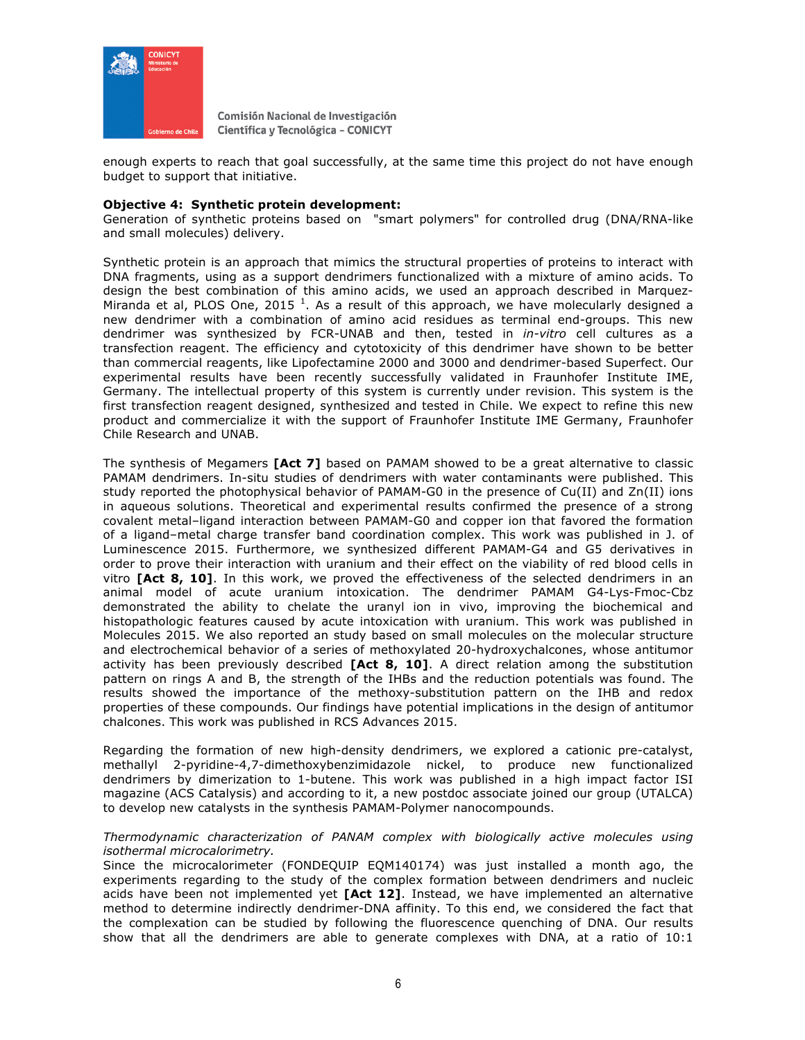

enough experts to reach that goal successfully, at the same time this project do not have enough budget to support that initiative.

#### **Objective 4: Synthetic protein development:**

Generation of synthetic proteins based on "smart polymers" for controlled drug (DNA/RNA-like and small molecules) delivery.

Synthetic protein is an approach that mimics the structural properties of proteins to interact with DNA fragments, using as a support dendrimers functionalized with a mixture of amino acids. To design the best combination of this amino acids, we used an approach described in Marquez-Miranda et al, PLOS One, 2015<sup>1</sup>. As a result of this approach, we have molecularly designed a new dendrimer with a combination of amino acid residues as terminal end-groups. This new dendrimer was synthesized by FCR-UNAB and then, tested in *in-vitro* cell cultures as a transfection reagent. The efficiency and cytotoxicity of this dendrimer have shown to be better than commercial reagents, like Lipofectamine 2000 and 3000 and dendrimer-based Superfect. Our experimental results have been recently successfully validated in Fraunhofer Institute IME, Germany. The intellectual property of this system is currently under revision. This system is the first transfection reagent designed, synthesized and tested in Chile. We expect to refine this new product and commercialize it with the support of Fraunhofer Institute IME Germany, Fraunhofer Chile Research and UNAB.

The synthesis of Megamers **[Act 7]** based on PAMAM showed to be a great alternative to classic PAMAM dendrimers. In-situ studies of dendrimers with water contaminants were published. This study reported the photophysical behavior of PAMAM-G0 in the presence of Cu(II) and Zn(II) ions in aqueous solutions. Theoretical and experimental results confirmed the presence of a strong covalent metal–ligand interaction between PAMAM-G0 and copper ion that favored the formation of a ligand–metal charge transfer band coordination complex. This work was published in J. of Luminescence 2015. Furthermore, we synthesized different PAMAM-G4 and G5 derivatives in order to prove their interaction with uranium and their effect on the viability of red blood cells in vitro **[Act 8, 10]**. In this work, we proved the effectiveness of the selected dendrimers in an animal model of acute uranium intoxication. The dendrimer PAMAM G4-Lys-Fmoc-Cbz demonstrated the ability to chelate the uranyl ion in vivo, improving the biochemical and histopathologic features caused by acute intoxication with uranium. This work was published in Molecules 2015. We also reported an study based on small molecules on the molecular structure and electrochemical behavior of a series of methoxylated 20-hydroxychalcones, whose antitumor activity has been previously described **[Act 8, 10]**. A direct relation among the substitution pattern on rings A and B, the strength of the IHBs and the reduction potentials was found. The results showed the importance of the methoxy-substitution pattern on the IHB and redox properties of these compounds. Our findings have potential implications in the design of antitumor chalcones. This work was published in RCS Advances 2015.

Regarding the formation of new high-density dendrimers, we explored a cationic pre-catalyst, methallyl 2-pyridine-4,7-dimethoxybenzimidazole nickel, to produce new functionalized dendrimers by dimerization to 1-butene. This work was published in a high impact factor ISI magazine (ACS Catalysis) and according to it, a new postdoc associate joined our group (UTALCA) to develop new catalysts in the synthesis PAMAM-Polymer nanocompounds.

#### *Thermodynamic characterization of PANAM complex with biologically active molecules using isothermal microcalorimetry.*

Since the microcalorimeter (FONDEQUIP EQM140174) was just installed a month ago, the experiments regarding to the study of the complex formation between dendrimers and nucleic acids have been not implemented yet **[Act 12]**. Instead, we have implemented an alternative method to determine indirectly dendrimer-DNA affinity. To this end, we considered the fact that the complexation can be studied by following the fluorescence quenching of DNA. Our results show that all the dendrimers are able to generate complexes with DNA, at a ratio of 10:1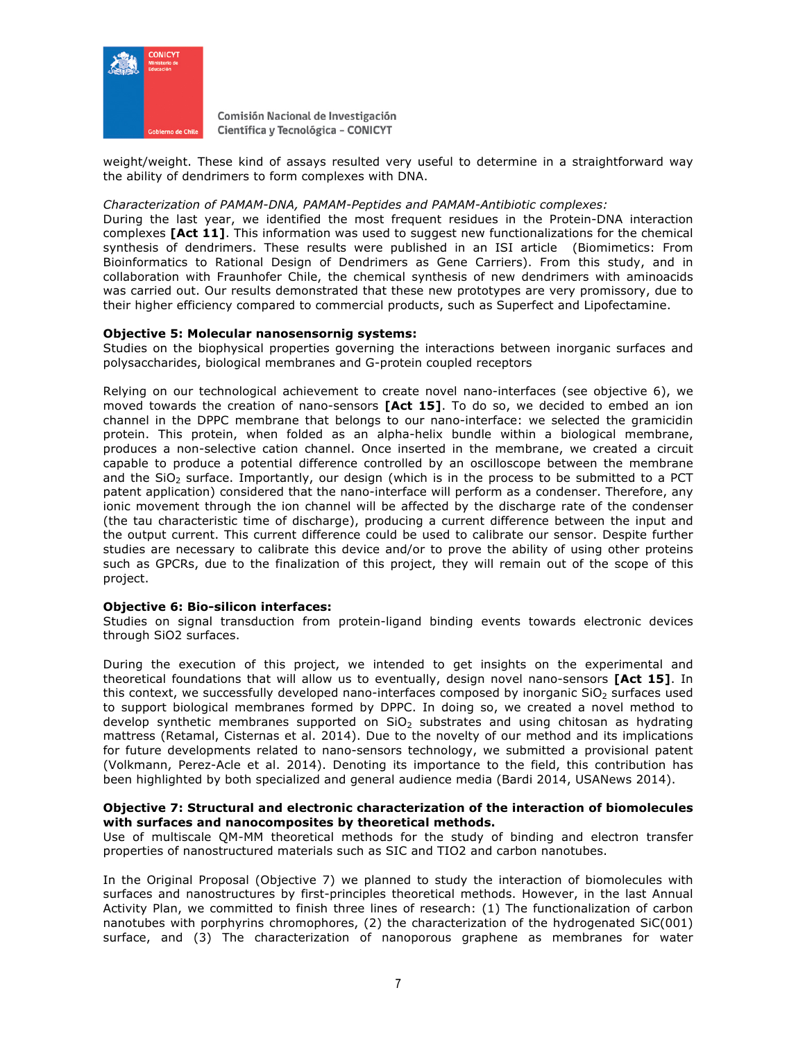

weight/weight. These kind of assays resulted very useful to determine in a straightforward way the ability of dendrimers to form complexes with DNA.

#### *Characterization of PAMAM-DNA, PAMAM-Peptides and PAMAM-Antibiotic complexes:*

During the last year, we identified the most frequent residues in the Protein-DNA interaction complexes **[Act 11]**. This information was used to suggest new functionalizations for the chemical synthesis of dendrimers. These results were published in an ISI article (Biomimetics: From Bioinformatics to Rational Design of Dendrimers as Gene Carriers). From this study, and in collaboration with Fraunhofer Chile, the chemical synthesis of new dendrimers with aminoacids was carried out. Our results demonstrated that these new prototypes are very promissory, due to their higher efficiency compared to commercial products, such as Superfect and Lipofectamine.

#### **Objective 5: Molecular nanosensornig systems:**

Studies on the biophysical properties governing the interactions between inorganic surfaces and polysaccharides, biological membranes and G-protein coupled receptors

Relying on our technological achievement to create novel nano-interfaces (see objective 6), we moved towards the creation of nano-sensors **[Act 15]**. To do so, we decided to embed an ion channel in the DPPC membrane that belongs to our nano-interface: we selected the gramicidin protein. This protein, when folded as an alpha-helix bundle within a biological membrane, produces a non-selective cation channel. Once inserted in the membrane, we created a circuit capable to produce a potential difference controlled by an oscilloscope between the membrane and the  $SiO<sub>2</sub>$  surface. Importantly, our design (which is in the process to be submitted to a PCT patent application) considered that the nano-interface will perform as a condenser. Therefore, any ionic movement through the ion channel will be affected by the discharge rate of the condenser (the tau characteristic time of discharge), producing a current difference between the input and the output current. This current difference could be used to calibrate our sensor. Despite further studies are necessary to calibrate this device and/or to prove the ability of using other proteins such as GPCRs, due to the finalization of this project, they will remain out of the scope of this project.

#### **Objective 6: Bio-silicon interfaces:**

Studies on signal transduction from protein-ligand binding events towards electronic devices through SiO2 surfaces.

During the execution of this project, we intended to get insights on the experimental and theoretical foundations that will allow us to eventually, design novel nano-sensors **[Act 15]**. In this context, we successfully developed nano-interfaces composed by inorganic  $SiO<sub>2</sub>$  surfaces used to support biological membranes formed by DPPC. In doing so, we created a novel method to develop synthetic membranes supported on  $SiO<sub>2</sub>$  substrates and using chitosan as hydrating mattress (Retamal, Cisternas et al. 2014). Due to the novelty of our method and its implications for future developments related to nano-sensors technology, we submitted a provisional patent (Volkmann, Perez-Acle et al. 2014). Denoting its importance to the field, this contribution has been highlighted by both specialized and general audience media (Bardi 2014, USANews 2014).

#### **Objective 7: Structural and electronic characterization of the interaction of biomolecules with surfaces and nanocomposites by theoretical methods.**

Use of multiscale QM-MM theoretical methods for the study of binding and electron transfer properties of nanostructured materials such as SIC and TIO2 and carbon nanotubes.

In the Original Proposal (Objective 7) we planned to study the interaction of biomolecules with surfaces and nanostructures by first-principles theoretical methods. However, in the last Annual Activity Plan, we committed to finish three lines of research: (1) The functionalization of carbon nanotubes with porphyrins chromophores, (2) the characterization of the hydrogenated SiC(001) surface, and (3) The characterization of nanoporous graphene as membranes for water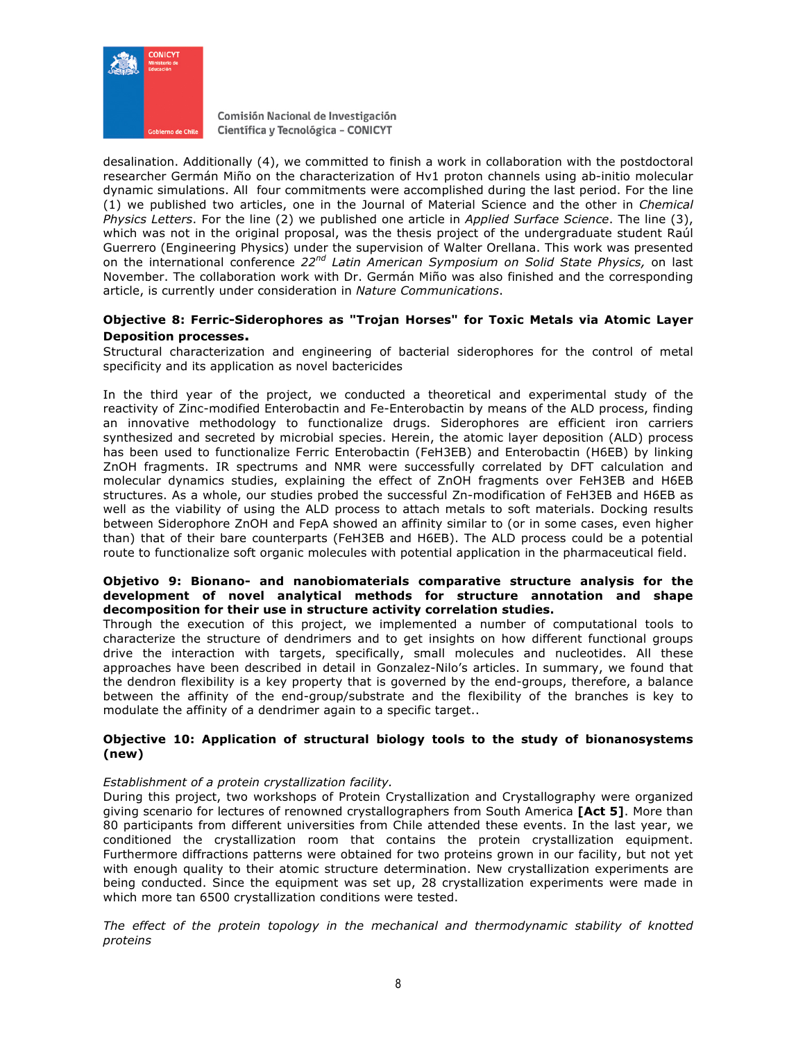

desalination. Additionally (4), we committed to finish a work in collaboration with the postdoctoral researcher Germán Miño on the characterization of Hv1 proton channels using ab-initio molecular dynamic simulations. All four commitments were accomplished during the last period. For the line (1) we published two articles, one in the Journal of Material Science and the other in *Chemical Physics Letters*. For the line (2) we published one article in *Applied Surface Science*. The line (3), which was not in the original proposal, was the thesis project of the undergraduate student Raúl Guerrero (Engineering Physics) under the supervision of Walter Orellana. This work was presented on the international conference *22nd Latin American Symposium on Solid State Physics,* on last November. The collaboration work with Dr. Germán Miño was also finished and the corresponding article, is currently under consideration in *Nature Communications*.

### **Objective 8: Ferric-Siderophores as "Trojan Horses" for Toxic Metals via Atomic Layer Deposition processes.**

Structural characterization and engineering of bacterial siderophores for the control of metal specificity and its application as novel bactericides

In the third year of the project, we conducted a theoretical and experimental study of the reactivity of Zinc-modified Enterobactin and Fe-Enterobactin by means of the ALD process, finding an innovative methodology to functionalize drugs. Siderophores are efficient iron carriers synthesized and secreted by microbial species. Herein, the atomic layer deposition (ALD) process has been used to functionalize Ferric Enterobactin (FeH3EB) and Enterobactin (H6EB) by linking ZnOH fragments. IR spectrums and NMR were successfully correlated by DFT calculation and molecular dynamics studies, explaining the effect of ZnOH fragments over FeH3EB and H6EB structures. As a whole, our studies probed the successful Zn-modification of FeH3EB and H6EB as well as the viability of using the ALD process to attach metals to soft materials. Docking results between Siderophore ZnOH and FepA showed an affinity similar to (or in some cases, even higher than) that of their bare counterparts (FeH3EB and H6EB). The ALD process could be a potential route to functionalize soft organic molecules with potential application in the pharmaceutical field.

#### **Objetivo 9: Bionano- and nanobiomaterials comparative structure analysis for the development of novel analytical methods for structure annotation and shape decomposition for their use in structure activity correlation studies.**

Through the execution of this project, we implemented a number of computational tools to characterize the structure of dendrimers and to get insights on how different functional groups drive the interaction with targets, specifically, small molecules and nucleotides. All these approaches have been described in detail in Gonzalez-Nilo's articles. In summary, we found that the dendron flexibility is a key property that is governed by the end-groups, therefore, a balance between the affinity of the end-group/substrate and the flexibility of the branches is key to modulate the affinity of a dendrimer again to a specific target..

#### **Objective 10: Application of structural biology tools to the study of bionanosystems (new)**

### *Establishment of a protein crystallization facility.*

During this project, two workshops of Protein Crystallization and Crystallography were organized giving scenario for lectures of renowned crystallographers from South America **[Act 5]**. More than 80 participants from different universities from Chile attended these events. In the last year, we conditioned the crystallization room that contains the protein crystallization equipment. Furthermore diffractions patterns were obtained for two proteins grown in our facility, but not yet with enough quality to their atomic structure determination. New crystallization experiments are being conducted. Since the equipment was set up, 28 crystallization experiments were made in which more tan 6500 crystallization conditions were tested.

*The effect of the protein topology in the mechanical and thermodynamic stability of knotted proteins*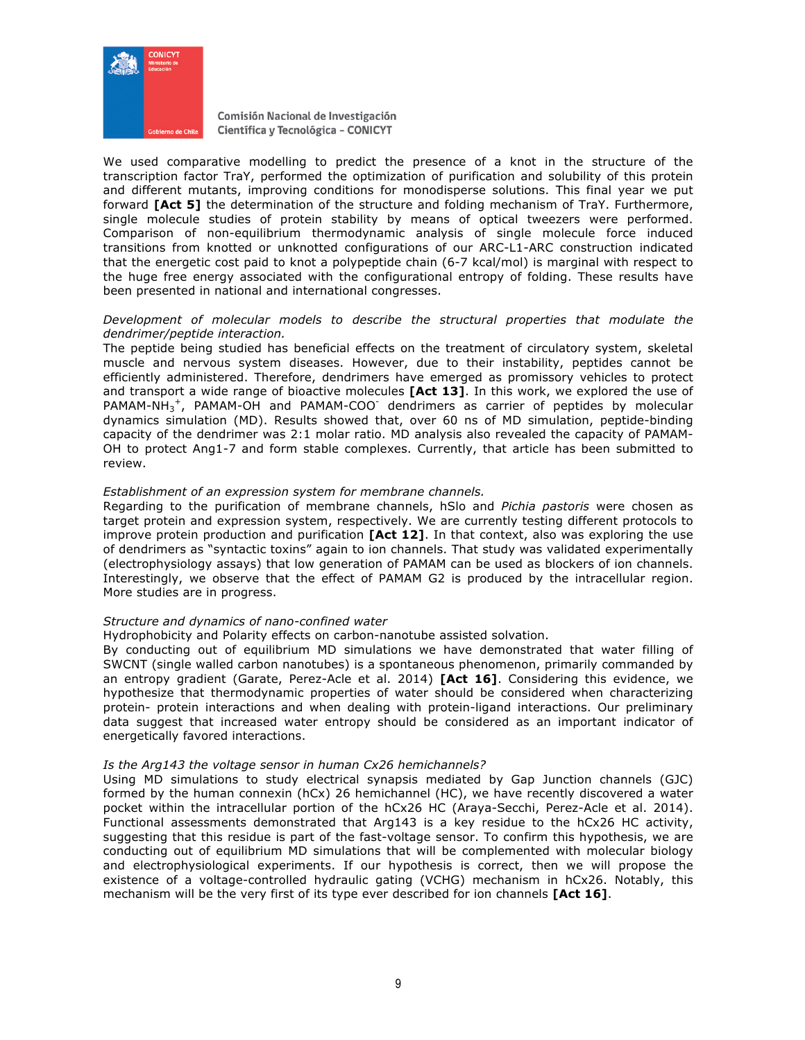

We used comparative modelling to predict the presence of a knot in the structure of the transcription factor TraY, performed the optimization of purification and solubility of this protein and different mutants, improving conditions for monodisperse solutions. This final year we put forward **[Act 5]** the determination of the structure and folding mechanism of TraY. Furthermore, single molecule studies of protein stability by means of optical tweezers were performed. Comparison of non-equilibrium thermodynamic analysis of single molecule force induced transitions from knotted or unknotted configurations of our ARC-L1-ARC construction indicated that the energetic cost paid to knot a polypeptide chain (6-7 kcal/mol) is marginal with respect to the huge free energy associated with the configurational entropy of folding. These results have been presented in national and international congresses.

#### *Development of molecular models to describe the structural properties that modulate the dendrimer/peptide interaction.*

The peptide being studied has beneficial effects on the treatment of circulatory system, skeletal muscle and nervous system diseases. However, due to their instability, peptides cannot be efficiently administered. Therefore, dendrimers have emerged as promissory vehicles to protect and transport a wide range of bioactive molecules **[Act 13]**. In this work, we explored the use of PAMAM-NH<sub>3</sub><sup>+</sup>, PAMAM-OH and PAMAM-COO dendrimers as carrier of peptides by molecular dynamics simulation (MD). Results showed that, over 60 ns of MD simulation, peptide-binding capacity of the dendrimer was 2:1 molar ratio. MD analysis also revealed the capacity of PAMAM-OH to protect Ang1-7 and form stable complexes. Currently, that article has been submitted to review.

#### *Establishment of an expression system for membrane channels.*

Regarding to the purification of membrane channels, hSlo and *Pichia pastoris* were chosen as target protein and expression system, respectively. We are currently testing different protocols to improve protein production and purification **[Act 12]**. In that context, also was exploring the use of dendrimers as "syntactic toxins" again to ion channels. That study was validated experimentally (electrophysiology assays) that low generation of PAMAM can be used as blockers of ion channels. Interestingly, we observe that the effect of PAMAM G2 is produced by the intracellular region. More studies are in progress.

#### *Structure and dynamics of nano-confined water*

Hydrophobicity and Polarity effects on carbon-nanotube assisted solvation.

By conducting out of equilibrium MD simulations we have demonstrated that water filling of SWCNT (single walled carbon nanotubes) is a spontaneous phenomenon, primarily commanded by an entropy gradient (Garate, Perez-Acle et al. 2014) **[Act 16]**. Considering this evidence, we hypothesize that thermodynamic properties of water should be considered when characterizing protein- protein interactions and when dealing with protein-ligand interactions. Our preliminary data suggest that increased water entropy should be considered as an important indicator of energetically favored interactions.

#### *Is the Arg143 the voltage sensor in human Cx26 hemichannels?*

Using MD simulations to study electrical synapsis mediated by Gap Junction channels (GJC) formed by the human connexin (hCx) 26 hemichannel (HC), we have recently discovered a water pocket within the intracellular portion of the hCx26 HC (Araya-Secchi, Perez-Acle et al. 2014). Functional assessments demonstrated that Arg143 is a key residue to the hCx26 HC activity, suggesting that this residue is part of the fast-voltage sensor. To confirm this hypothesis, we are conducting out of equilibrium MD simulations that will be complemented with molecular biology and electrophysiological experiments. If our hypothesis is correct, then we will propose the existence of a voltage-controlled hydraulic gating (VCHG) mechanism in hCx26. Notably, this mechanism will be the very first of its type ever described for ion channels **[Act 16]**.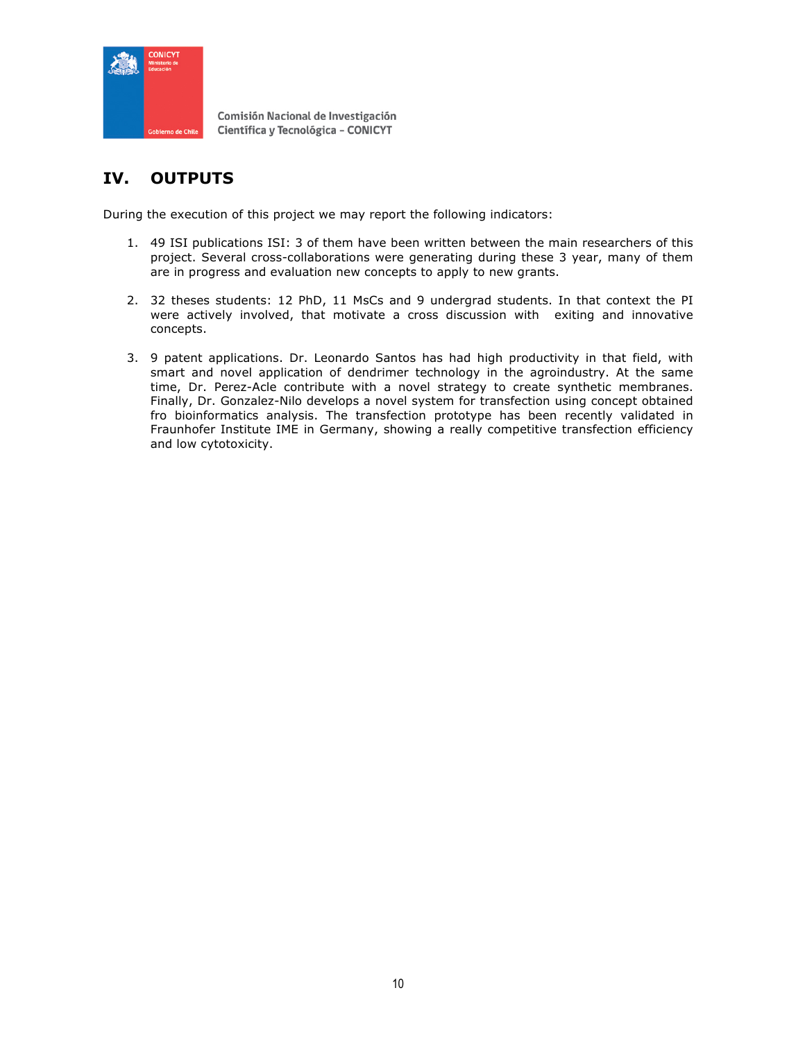

# **IV. OUTPUTS**

During the execution of this project we may report the following indicators:

- 1. 49 ISI publications ISI: 3 of them have been written between the main researchers of this project. Several cross-collaborations were generating during these 3 year, many of them are in progress and evaluation new concepts to apply to new grants.
- 2. 32 theses students: 12 PhD, 11 MsCs and 9 undergrad students. In that context the PI were actively involved, that motivate a cross discussion with exiting and innovative concepts.
- 3. 9 patent applications. Dr. Leonardo Santos has had high productivity in that field, with smart and novel application of dendrimer technology in the agroindustry. At the same time, Dr. Perez-Acle contribute with a novel strategy to create synthetic membranes. Finally, Dr. Gonzalez-Nilo develops a novel system for transfection using concept obtained fro bioinformatics analysis. The transfection prototype has been recently validated in Fraunhofer Institute IME in Germany, showing a really competitive transfection efficiency and low cytotoxicity.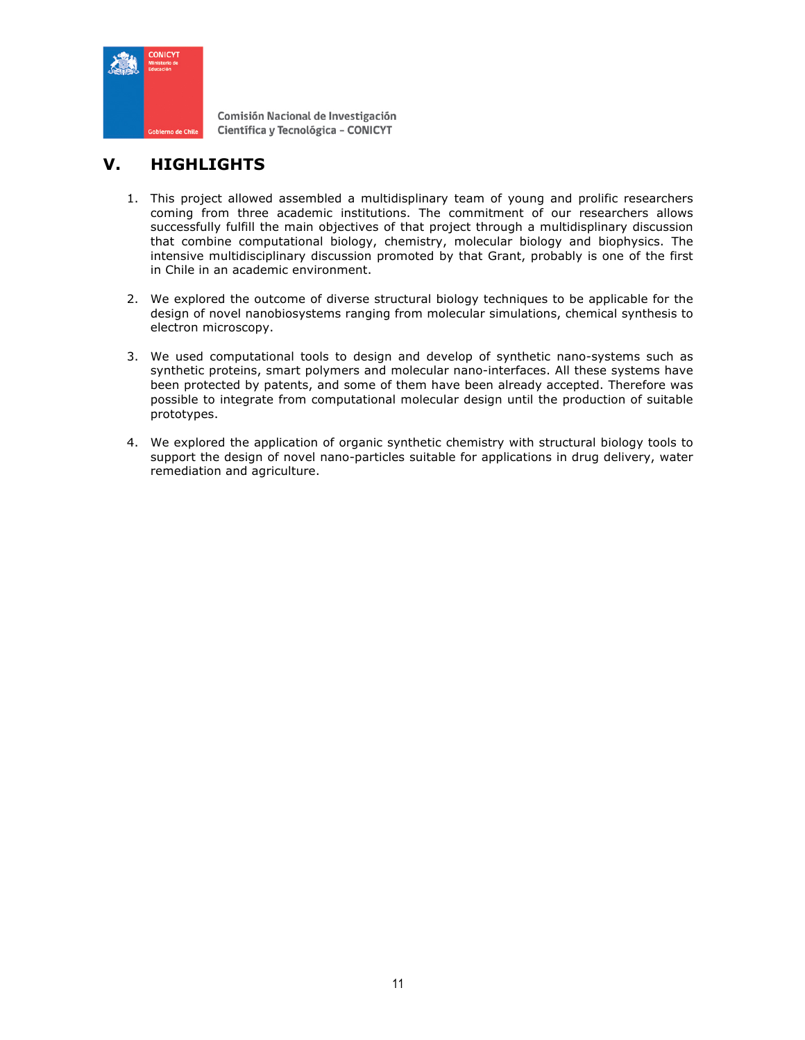

# **V. HIGHLIGHTS**

- 1. This project allowed assembled a multidisplinary team of young and prolific researchers coming from three academic institutions. The commitment of our researchers allows successfully fulfill the main objectives of that project through a multidisplinary discussion that combine computational biology, chemistry, molecular biology and biophysics. The intensive multidisciplinary discussion promoted by that Grant, probably is one of the first in Chile in an academic environment.
- 2. We explored the outcome of diverse structural biology techniques to be applicable for the design of novel nanobiosystems ranging from molecular simulations, chemical synthesis to electron microscopy.
- 3. We used computational tools to design and develop of synthetic nano-systems such as synthetic proteins, smart polymers and molecular nano-interfaces. All these systems have been protected by patents, and some of them have been already accepted. Therefore was possible to integrate from computational molecular design until the production of suitable prototypes.
- 4. We explored the application of organic synthetic chemistry with structural biology tools to support the design of novel nano-particles suitable for applications in drug delivery, water remediation and agriculture.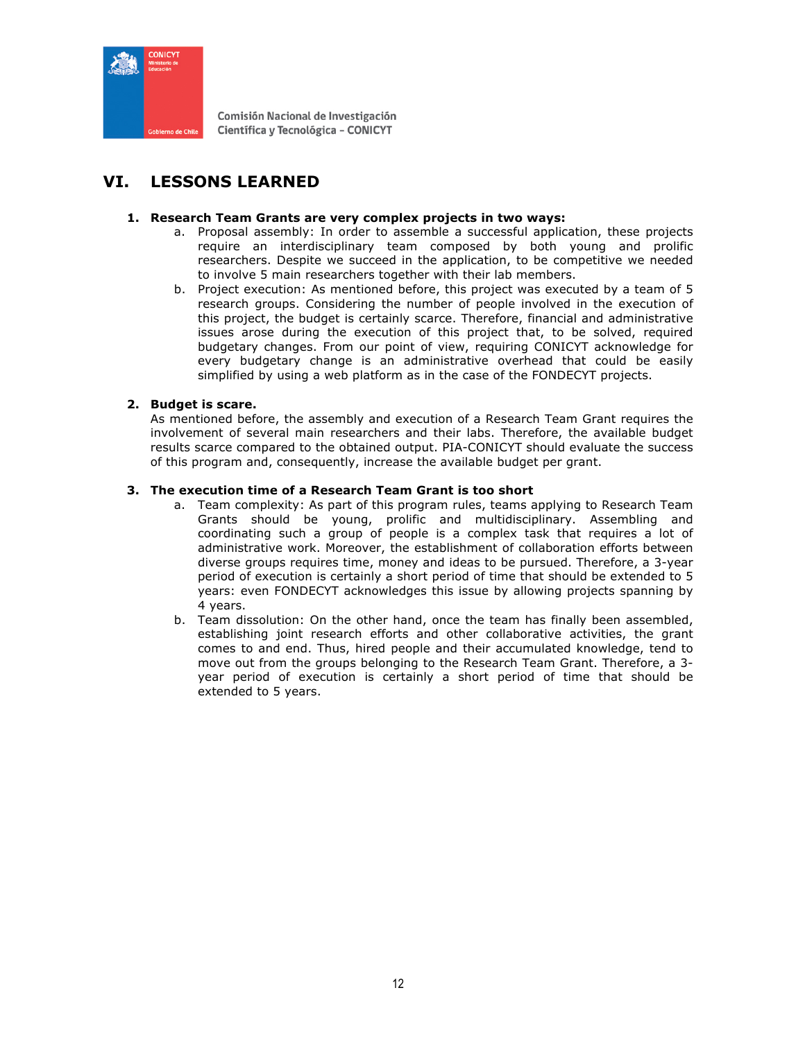

# **VI. LESSONS LEARNED**

### **1. Research Team Grants are very complex projects in two ways:**

- a. Proposal assembly: In order to assemble a successful application, these projects require an interdisciplinary team composed by both young and prolific researchers. Despite we succeed in the application, to be competitive we needed to involve 5 main researchers together with their lab members.
- b. Project execution: As mentioned before, this project was executed by a team of 5 research groups. Considering the number of people involved in the execution of this project, the budget is certainly scarce. Therefore, financial and administrative issues arose during the execution of this project that, to be solved, required budgetary changes. From our point of view, requiring CONICYT acknowledge for every budgetary change is an administrative overhead that could be easily simplified by using a web platform as in the case of the FONDECYT projects.

### **2. Budget is scare.**

As mentioned before, the assembly and execution of a Research Team Grant requires the involvement of several main researchers and their labs. Therefore, the available budget results scarce compared to the obtained output. PIA-CONICYT should evaluate the success of this program and, consequently, increase the available budget per grant.

### **3. The execution time of a Research Team Grant is too short**

- a. Team complexity: As part of this program rules, teams applying to Research Team Grants should be young, prolific and multidisciplinary. Assembling and coordinating such a group of people is a complex task that requires a lot of administrative work. Moreover, the establishment of collaboration efforts between diverse groups requires time, money and ideas to be pursued. Therefore, a 3-year period of execution is certainly a short period of time that should be extended to 5 years: even FONDECYT acknowledges this issue by allowing projects spanning by 4 years.
- b. Team dissolution: On the other hand, once the team has finally been assembled, establishing joint research efforts and other collaborative activities, the grant comes to and end. Thus, hired people and their accumulated knowledge, tend to move out from the groups belonging to the Research Team Grant. Therefore, a 3 year period of execution is certainly a short period of time that should be extended to 5 years.